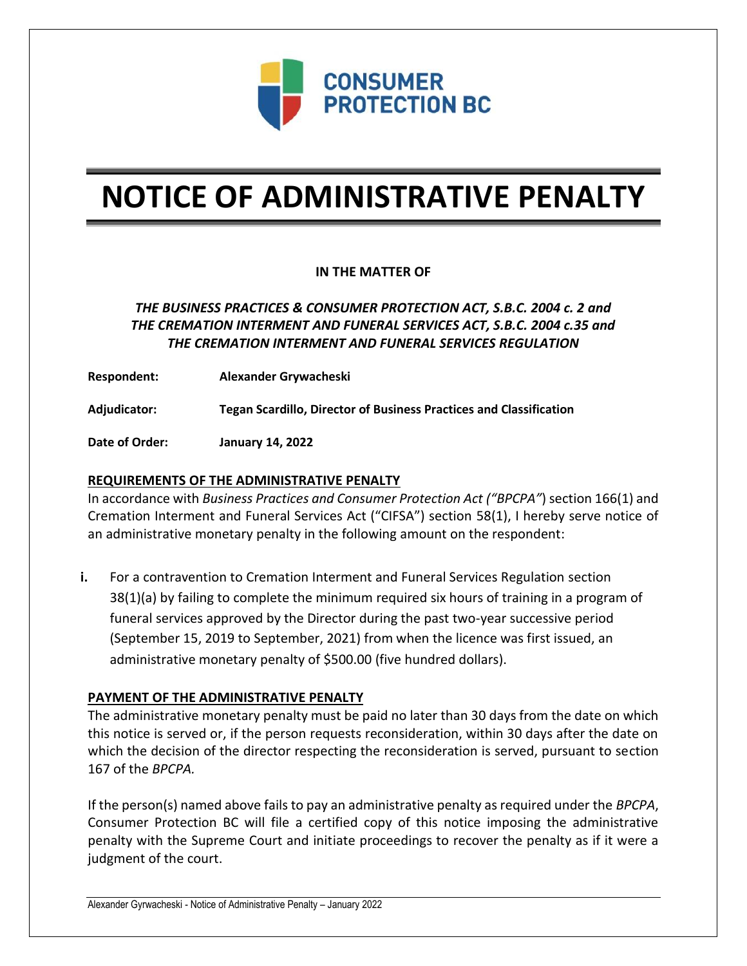

# **NOTICE OF ADMINISTRATIVE PENALTY**

## **IN THE MATTER OF**

# *THE BUSINESS PRACTICES & CONSUMER PROTECTION ACT, S.B.C. 2004 c. 2 and THE CREMATION INTERMENT AND FUNERAL SERVICES ACT, S.B.C. 2004 c.35 and THE CREMATION INTERMENT AND FUNERAL SERVICES REGULATION*

**Respondent: Alexander Grywacheski**

**Adjudicator: Tegan Scardillo, Director of Business Practices and Classification**

**Date of Order: January 14, 2022**

### **REQUIREMENTS OF THE ADMINISTRATIVE PENALTY**

In accordance with *Business Practices and Consumer Protection Act ("BPCPA"*) section 166(1) and Cremation Interment and Funeral Services Act ("CIFSA") section 58(1), I hereby serve notice of an administrative monetary penalty in the following amount on the respondent:

**i.** For a contravention to Cremation Interment and Funeral Services Regulation section 38(1)(a) by failing to complete the minimum required six hours of training in a program of funeral services approved by the Director during the past two-year successive period (September 15, 2019 to September, 2021) from when the licence was first issued, an administrative monetary penalty of \$500.00 (five hundred dollars).

#### **PAYMENT OF THE ADMINISTRATIVE PENALTY**

The administrative monetary penalty must be paid no later than 30 days from the date on which this notice is served or, if the person requests reconsideration, within 30 days after the date on which the decision of the director respecting the reconsideration is served, pursuant to section 167 of the *BPCPA.* 

If the person(s) named above fails to pay an administrative penalty as required under the *BPCPA*, Consumer Protection BC will file a certified copy of this notice imposing the administrative penalty with the Supreme Court and initiate proceedings to recover the penalty as if it were a judgment of the court.